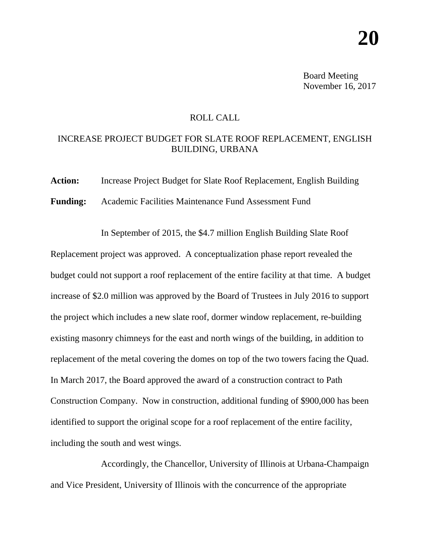Board Meeting November 16, 2017

## ROLL CALL

## INCREASE PROJECT BUDGET FOR SLATE ROOF REPLACEMENT, ENGLISH BUILDING, URBANA

**Action:** Increase Project Budget for Slate Roof Replacement, English Building **Funding:** Academic Facilities Maintenance Fund Assessment Fund

In September of 2015, the \$4.7 million English Building Slate Roof Replacement project was approved. A conceptualization phase report revealed the budget could not support a roof replacement of the entire facility at that time. A budget increase of \$2.0 million was approved by the Board of Trustees in July 2016 to support the project which includes a new slate roof, dormer window replacement, re-building existing masonry chimneys for the east and north wings of the building, in addition to replacement of the metal covering the domes on top of the two towers facing the Quad. In March 2017, the Board approved the award of a construction contract to Path Construction Company. Now in construction, additional funding of \$900,000 has been identified to support the original scope for a roof replacement of the entire facility, including the south and west wings.

Accordingly, the Chancellor, University of Illinois at Urbana-Champaign and Vice President, University of Illinois with the concurrence of the appropriate